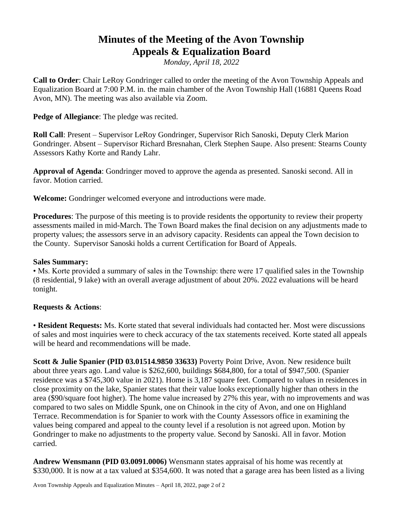## **Minutes of the Meeting of the Avon Township Appeals & Equalization Board**

*Monday, April 18, 2022*

**Call to Order**: Chair LeRoy Gondringer called to order the meeting of the Avon Township Appeals and Equalization Board at 7:00 P.M. in. the main chamber of the Avon Township Hall (16881 Queens Road Avon, MN). The meeting was also available via Zoom.

**Pedge of Allegiance**: The pledge was recited.

**Roll Call**: Present – Supervisor LeRoy Gondringer, Supervisor Rich Sanoski, Deputy Clerk Marion Gondringer. Absent – Supervisor Richard Bresnahan, Clerk Stephen Saupe. Also present: Stearns County Assessors Kathy Korte and Randy Lahr.

**Approval of Agenda**: Gondringer moved to approve the agenda as presented. Sanoski second. All in favor. Motion carried.

**Welcome:** Gondringer welcomed everyone and introductions were made.

**Procedures**: The purpose of this meeting is to provide residents the opportunity to review their property assessments mailed in mid-March. The Town Board makes the final decision on any adjustments made to property values; the assessors serve in an advisory capacity. Residents can appeal the Town decision to the County. Supervisor Sanoski holds a current Certification for Board of Appeals.

## **Sales Summary:**

• Ms. Korte provided a summary of sales in the Township: there were 17 qualified sales in the Township (8 residential, 9 lake) with an overall average adjustment of about 20%. 2022 evaluations will be heard tonight.

## **Requests & Actions**:

• **Resident Requests:** Ms. Korte stated that several individuals had contacted her. Most were discussions of sales and most inquiries were to check accuracy of the tax statements received. Korte stated all appeals will be heard and recommendations will be made.

**Scott & Julie Spanier (PID 03.01514.9850 33633)** Poverty Point Drive, Avon. New residence built about three years ago. Land value is \$262,600, buildings \$684,800, for a total of \$947,500. (Spanier residence was a \$745,300 value in 2021). Home is 3,187 square feet. Compared to values in residences in close proximity on the lake, Spanier states that their value looks exceptionally higher than others in the area (\$90/square foot higher). The home value increased by 27% this year, with no improvements and was compared to two sales on Middle Spunk, one on Chinook in the city of Avon, and one on Highland Terrace. Recommendation is for Spanier to work with the County Assessors office in examining the values being compared and appeal to the county level if a resolution is not agreed upon. Motion by Gondringer to make no adjustments to the property value. Second by Sanoski. All in favor. Motion carried.

**Andrew Wensmann (PID 03.0091.0006)** Wensmann states appraisal of his home was recently at \$330,000. It is now at a tax valued at \$354,600. It was noted that a garage area has been listed as a living